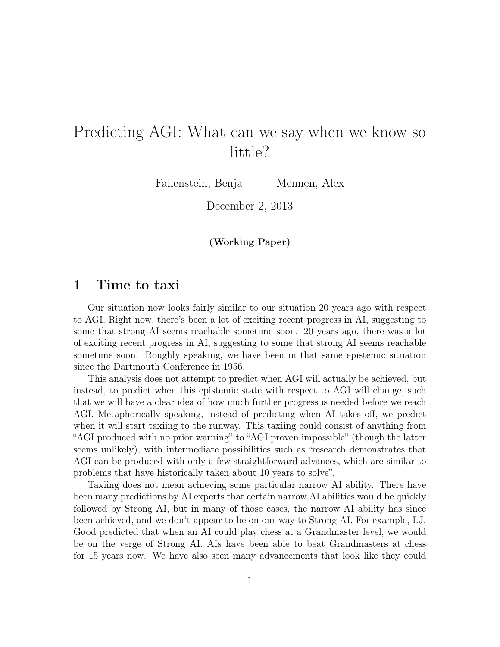# Predicting AGI: What can we say when we know so little?

Fallenstein, Benja Mennen, Alex

December 2, 2013

(Working Paper)

### 1 Time to taxi

Our situation now looks fairly similar to our situation 20 years ago with respect to AGI. Right now, there's been a lot of exciting recent progress in AI, suggesting to some that strong AI seems reachable sometime soon. 20 years ago, there was a lot of exciting recent progress in AI, suggesting to some that strong AI seems reachable sometime soon. Roughly speaking, we have been in that same epistemic situation since the Dartmouth Conference in 1956.

This analysis does not attempt to predict when AGI will actually be achieved, but instead, to predict when this epistemic state with respect to AGI will change, such that we will have a clear idea of how much further progress is needed before we reach AGI. Metaphorically speaking, instead of predicting when AI takes off, we predict when it will start taxiing to the runway. This taxiing could consist of anything from "AGI produced with no prior warning" to "AGI proven impossible" (though the latter seems unlikely), with intermediate possibilities such as "research demonstrates that AGI can be produced with only a few straightforward advances, which are similar to problems that have historically taken about 10 years to solve".

Taxiing does not mean achieving some particular narrow AI ability. There have been many predictions by AI experts that certain narrow AI abilities would be quickly followed by Strong AI, but in many of those cases, the narrow AI ability has since been achieved, and we don't appear to be on our way to Strong AI. For example, I.J. Good predicted that when an AI could play chess at a Grandmaster level, we would be on the verge of Strong AI. AIs have been able to beat Grandmasters at chess for 15 years now. We have also seen many advancements that look like they could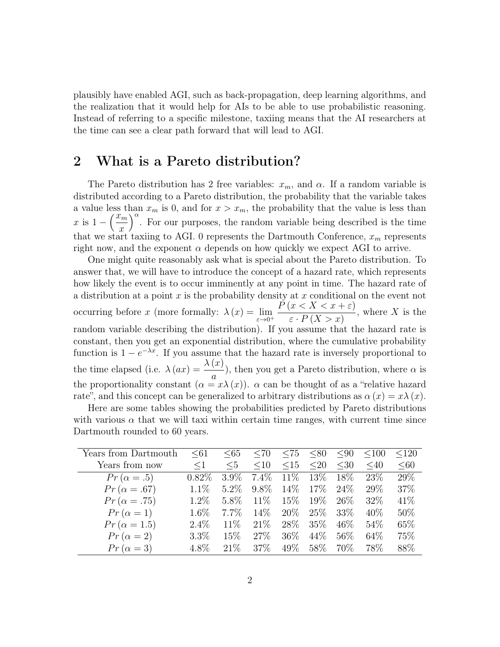plausibly have enabled AGI, such as back-propagation, deep learning algorithms, and the realization that it would help for AIs to be able to use probabilistic reasoning. Instead of referring to a specific milestone, taxiing means that the AI researchers at the time can see a clear path forward that will lead to AGI.

### 2 What is a Pareto distribution?

The Pareto distribution has 2 free variables:  $x_m$ , and  $\alpha$ . If a random variable is distributed according to a Pareto distribution, the probability that the variable takes a value less than  $x_m$  is 0, and for  $x > x_m$ , the probability that the value is less than x is  $1 - \left(\frac{x_m}{x}\right)$  $\overline{x}$  $\int_{0}^{\infty}$ . For our purposes, the random variable being described is the time that we start taxiing to AGI. 0 represents the Dartmouth Conference,  $x_m$  represents right now, and the exponent  $\alpha$  depends on how quickly we expect AGI to arrive.

One might quite reasonably ask what is special about the Pareto distribution. To answer that, we will have to introduce the concept of a hazard rate, which represents how likely the event is to occur imminently at any point in time. The hazard rate of a distribution at a point x is the probability density at x conditional on the event not occurring before x (more formally:  $\lambda(x) = \lim_{\varepsilon \to 0^+}$  $P(x < X < x + \varepsilon)$  $\varepsilon \cdot P(X > x)$ , where  $X$  is the random variable describing the distribution). If you assume that the hazard rate is constant, then you get an exponential distribution, where the cumulative probability function is  $1 - e^{-\lambda x}$ . If you assume that the hazard rate is inversely proportional to the time elapsed (i.e.  $\lambda(ax) = \frac{\lambda(x)}{x}$ a ), then you get a Pareto distribution, where  $\alpha$  is the proportionality constant  $(\alpha = x\lambda(x))$ .  $\alpha$  can be thought of as a "relative hazard" rate", and this concept can be generalized to arbitrary distributions as  $\alpha(x) = x\lambda(x)$ .

Here are some tables showing the probabilities predicted by Pareto distributions with various  $\alpha$  that we will taxi within certain time ranges, with current time since Dartmouth rounded to 60 years.

| Years from Dartmouth | $61$     | $<\!\!65$ | $<$ 70  | $<$ 75    | < 80   | $90$   | < 100     | < 120  |
|----------------------|----------|-----------|---------|-----------|--------|--------|-----------|--------|
| Years from now       | $\leq$ 1 | $5$       | <10     | $\leq 15$ | $20$   | $30$   | $\leq 40$ | < 60   |
| $Pr(\alpha = .5)$    | $0.82\%$ | $3.9\%$   | $7.4\%$ | $11\%$    | 13\%   | 18\%   | 23\%      | 29\%   |
| $Pr(\alpha = .67)$   | $1.1\%$  | $5.2\%$   | $9.8\%$ | $14\%$    | $17\%$ | $24\%$ | 29\%      | 37\%   |
| $Pr(\alpha = .75)$   | $1.2\%$  | 5.8%      | 11\%    | 15%       | $19\%$ | $26\%$ | $32\%$    | 41\%   |
| $Pr(\alpha = 1)$     | $1.6\%$  | $7.7\%$   | 14\%    | $20\%$    | 25%    | 33\%   | 40\%      | $50\%$ |
| $Pr(\alpha = 1.5)$   | $2.4\%$  | 11\%      | 21\%    | 28\%      | 35%    | $46\%$ | 54\%      | 65\%   |
| $Pr(\alpha = 2)$     | $3.3\%$  | 15\%      | 27\%    | 36\%      | 44\%   | $56\%$ | 64\%      | 75%    |
| $Pr(\alpha = 3)$     | $4.8\%$  | 21%       | 37\%    | 49\%      | 58\%   | 70\%   | 78\%      | 88%    |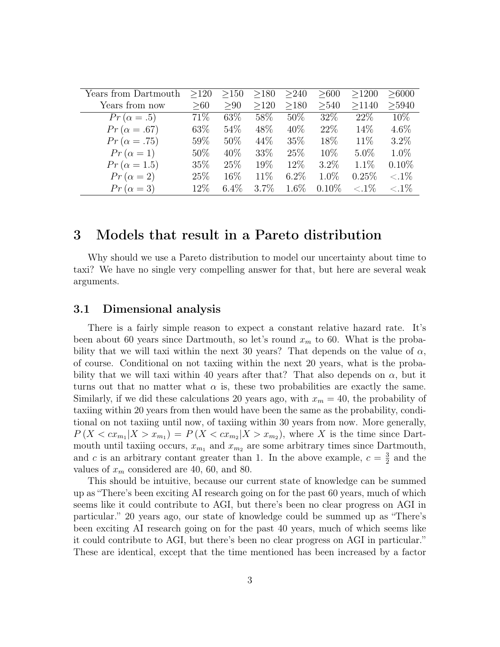| Years from Dartmouth | >120   | >150    | >180    | >240    | >600     | >1200    | >6000          |
|----------------------|--------|---------|---------|---------|----------|----------|----------------|
| Years from now       | >60    | > 90    | >120    | >180    | >540     | >1140    | >5940          |
| $Pr(\alpha = .5)$    | 71\%   | 63\%    | 58\%    | $50\%$  | 32\%     | 22%      | 10\%           |
| $Pr(\alpha = .67)$   | 63\%   | 54\%    | 48\%    | 40\%    | 22%      | 14\%     | $4.6\%$        |
| $Pr(\alpha = .75)$   | 59\%   | $50\%$  | 44\%    | 35\%    | 18\%     | 11\%     | $3.2\%$        |
| $Pr(\alpha = 1)$     | 50%    | 40\%    | 33\%    | 25\%    | $10\%$   | $5.0\%$  | $1.0\%$        |
| $Pr(\alpha = 1.5)$   | 35%    | 25\%    | $19\%$  | 12\%    | $3.2\%$  | 1.1%     | $0.10\%$       |
| $Pr(\alpha = 2)$     | 25\%   | 16\%    | 11\%    | $6.2\%$ | 1.0%     | 0.25%    | ${<} .1\%$     |
| $Pr(\alpha = 3)$     | $12\%$ | $6.4\%$ | $3.7\%$ | $1.6\%$ | $0.10\%$ | ${<}1\%$ | $\langle .1\%$ |

### 3 Models that result in a Pareto distribution

Why should we use a Pareto distribution to model our uncertainty about time to taxi? We have no single very compelling answer for that, but here are several weak arguments.

#### 3.1 Dimensional analysis

There is a fairly simple reason to expect a constant relative hazard rate. It's been about 60 years since Dartmouth, so let's round  $x_m$  to 60. What is the probability that we will taxi within the next 30 years? That depends on the value of  $\alpha$ , of course. Conditional on not taxiing within the next 20 years, what is the probability that we will taxi within 40 years after that? That also depends on  $\alpha$ , but it turns out that no matter what  $\alpha$  is, these two probabilities are exactly the same. Similarly, if we did these calculations 20 years ago, with  $x_m = 40$ , the probability of taxiing within 20 years from then would have been the same as the probability, conditional on not taxiing until now, of taxiing within 30 years from now. More generally,  $P(X < cx_{m_1}|X > x_{m_1}) = P(X < cx_{m_2}|X > x_{m_2})$ , where X is the time since Dartmouth until taxiing occurs,  $x_{m_1}$  and  $x_{m_2}$  are some arbitrary times since Dartmouth, and c is an arbitrary contant greater than 1. In the above example,  $c = \frac{3}{2}$  $\frac{3}{2}$  and the values of  $x_m$  considered are 40, 60, and 80.

This should be intuitive, because our current state of knowledge can be summed up as "There's been exciting AI research going on for the past 60 years, much of which seems like it could contribute to AGI, but there's been no clear progress on AGI in particular." 20 years ago, our state of knowledge could be summed up as "There's been exciting AI research going on for the past 40 years, much of which seems like it could contribute to AGI, but there's been no clear progress on AGI in particular." These are identical, except that the time mentioned has been increased by a factor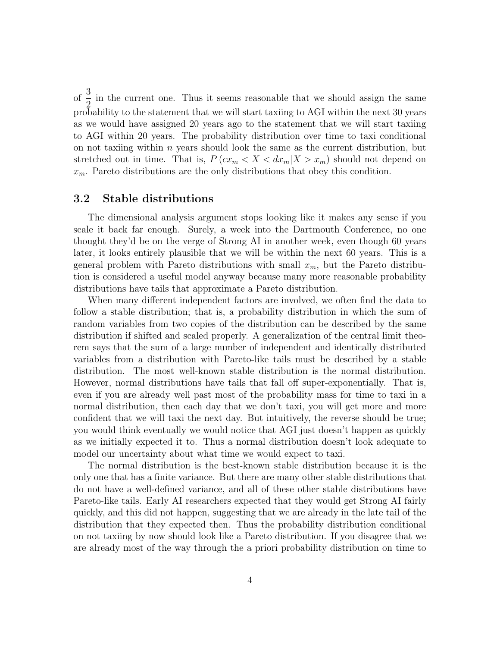of  $\frac{3}{5}$ 2 in the current one. Thus it seems reasonable that we should assign the same probability to the statement that we will start taxiing to AGI within the next 30 years as we would have assigned 20 years ago to the statement that we will start taxiing to AGI within 20 years. The probability distribution over time to taxi conditional on not taxiing within  $n$  years should look the same as the current distribution, but stretched out in time. That is,  $P(cx_m < X < dx_m | X > x_m)$  should not depend on  $x_m$ . Pareto distributions are the only distributions that obey this condition.

#### 3.2 Stable distributions

The dimensional analysis argument stops looking like it makes any sense if you scale it back far enough. Surely, a week into the Dartmouth Conference, no one thought they'd be on the verge of Strong AI in another week, even though 60 years later, it looks entirely plausible that we will be within the next 60 years. This is a general problem with Pareto distributions with small  $x_m$ , but the Pareto distribution is considered a useful model anyway because many more reasonable probability distributions have tails that approximate a Pareto distribution.

When many different independent factors are involved, we often find the data to follow a stable distribution; that is, a probability distribution in which the sum of random variables from two copies of the distribution can be described by the same distribution if shifted and scaled properly. A generalization of the central limit theorem says that the sum of a large number of independent and identically distributed variables from a distribution with Pareto-like tails must be described by a stable distribution. The most well-known stable distribution is the normal distribution. However, normal distributions have tails that fall off super-exponentially. That is, even if you are already well past most of the probability mass for time to taxi in a normal distribution, then each day that we don't taxi, you will get more and more confident that we will taxi the next day. But intuitively, the reverse should be true; you would think eventually we would notice that AGI just doesn't happen as quickly as we initially expected it to. Thus a normal distribution doesn't look adequate to model our uncertainty about what time we would expect to taxi.

The normal distribution is the best-known stable distribution because it is the only one that has a finite variance. But there are many other stable distributions that do not have a well-defined variance, and all of these other stable distributions have Pareto-like tails. Early AI researchers expected that they would get Strong AI fairly quickly, and this did not happen, suggesting that we are already in the late tail of the distribution that they expected then. Thus the probability distribution conditional on not taxiing by now should look like a Pareto distribution. If you disagree that we are already most of the way through the a priori probability distribution on time to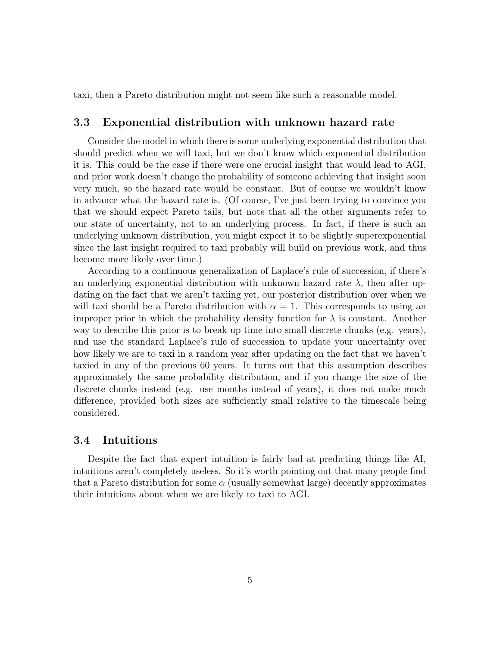taxi, then a Pareto distribution might not seem like such a reasonable model.

#### 3.3 Exponential distribution with unknown hazard rate

Consider the model in which there is some underlying exponential distribution that should predict when we will taxi, but we don't know which exponential distribution it is. This could be the case if there were one crucial insight that would lead to AGI, and prior work doesn't change the probability of someone achieving that insight soon very much, so the hazard rate would be constant. But of course we wouldn't know in advance what the hazard rate is. (Of course, I've just been trying to convince you that we should expect Pareto tails, but note that all the other arguments refer to our state of uncertainty, not to an underlying process. In fact, if there is such an underlying unknown distribution, you might expect it to be slightly superexponential since the last insight required to taxi probably will build on previous work, and thus become more likely over time.)

According to a continuous generalization of Laplace's rule of succession, if there's an underlying exponential distribution with unknown hazard rate  $\lambda$ , then after updating on the fact that we aren't taxiing yet, our posterior distribution over when we will taxi should be a Pareto distribution with  $\alpha = 1$ . This corresponds to using an improper prior in which the probability density function for  $\lambda$  is constant. Another way to describe this prior is to break up time into small discrete chunks (e.g. years), and use the standard Laplace's rule of succession to update your uncertainty over how likely we are to taxi in a random year after updating on the fact that we haven't taxied in any of the previous 60 years. It turns out that this assumption describes approximately the same probability distribution, and if you change the size of the discrete chunks instead (e.g. use months instead of years), it does not make much difference, provided both sizes are sufficiently small relative to the timescale being considered.

#### 3.4 Intuitions

Despite the fact that expert intuition is fairly bad at predicting things like AI, intuitions aren't completely useless. So it's worth pointing out that many people find that a Pareto distribution for some  $\alpha$  (usually somewhat large) decently approximates their intuitions about when we are likely to taxi to AGI.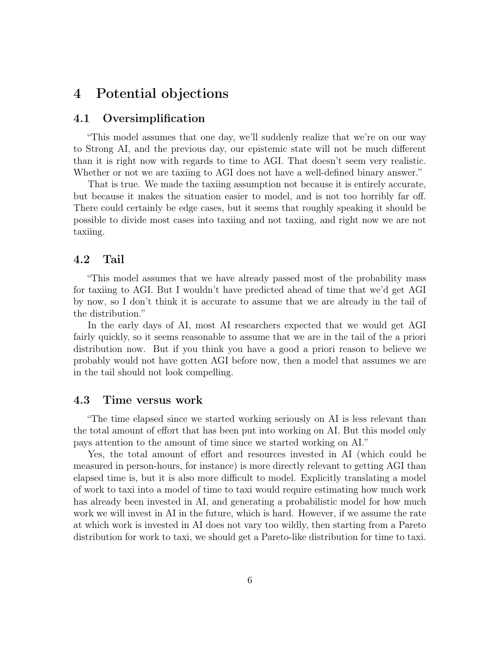### 4 Potential objections

### 4.1 Oversimplification

"This model assumes that one day, we'll suddenly realize that we're on our way to Strong AI, and the previous day, our epistemic state will not be much different than it is right now with regards to time to AGI. That doesn't seem very realistic. Whether or not we are taxiing to AGI does not have a well-defined binary answer."

That is true. We made the taxiing assumption not because it is entirely accurate, but because it makes the situation easier to model, and is not too horribly far off. There could certainly be edge cases, but it seems that roughly speaking it should be possible to divide most cases into taxiing and not taxiing, and right now we are not taxiing.

#### 4.2 Tail

"This model assumes that we have already passed most of the probability mass for taxiing to AGI. But I wouldn't have predicted ahead of time that we'd get AGI by now, so I don't think it is accurate to assume that we are already in the tail of the distribution."

In the early days of AI, most AI researchers expected that we would get AGI fairly quickly, so it seems reasonable to assume that we are in the tail of the a priori distribution now. But if you think you have a good a priori reason to believe we probably would not have gotten AGI before now, then a model that assumes we are in the tail should not look compelling.

#### 4.3 Time versus work

"The time elapsed since we started working seriously on AI is less relevant than the total amount of effort that has been put into working on AI. But this model only pays attention to the amount of time since we started working on AI."

Yes, the total amount of effort and resources invested in AI (which could be measured in person-hours, for instance) is more directly relevant to getting AGI than elapsed time is, but it is also more difficult to model. Explicitly translating a model of work to taxi into a model of time to taxi would require estimating how much work has already been invested in AI, and generating a probabilistic model for how much work we will invest in AI in the future, which is hard. However, if we assume the rate at which work is invested in AI does not vary too wildly, then starting from a Pareto distribution for work to taxi, we should get a Pareto-like distribution for time to taxi.